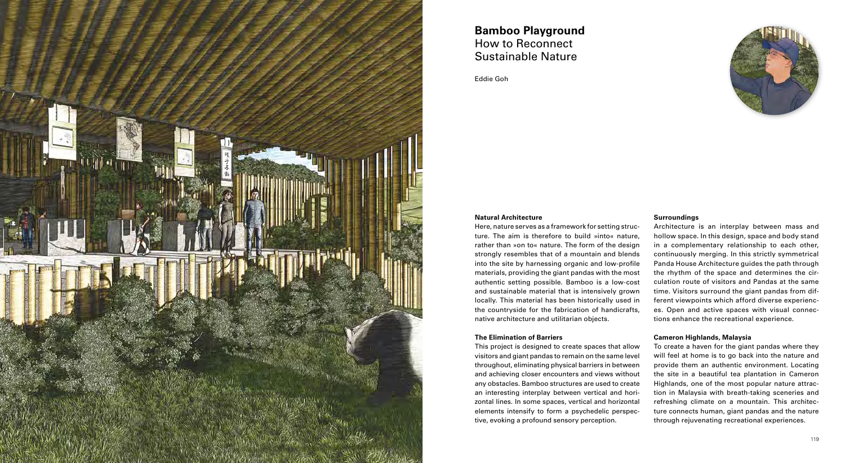## **Natural Architecture**

## **The Elimination of Barriers**

Here, nature serves as a framework for setting struc ture. The aim is therefore to build »into« nature, rather than »on to« nature. The form of the design strongly resembles that of a mountain and blends into the site by harnessing organic and low-profile materials, providing the giant pandas with the most authentic setting possible. Bamboo is a low-cost and sustainable material that is intensively grown locally. This material has been historically used in the countryside for the fabrication of handicrafts, native architecture and utilitarian objects. Architecture is an interplay between mass and hollow space. In this design, space and body stand in a complementary relationship to each other, continuously merging. In this strictly symmetrical Panda House Architecture guides the path through the rhythm of the space and determines the cir culation route of visitors and Pandas at the same time. Visitors surround the giant pandas from dif ferent viewpoints which afford diverse experienc es. Open and active spaces with visual connec tions enhance the recreational experience.

# **Surroundings**

This project is designed to create spaces that allow visitors and giant pandas to remain on the same level throughout, eliminating physical barriers in between and achieving closer encounters and views without any obstacles. Bamboo structures are used to create an interesting interplay between vertical and hori zontal lines. In some spaces, vertical and horizontal elements intensify to form a psychedelic perspec tive, evoking a profound sensory perception. To create a haven for the giant pandas where they will feel at home is to go back into the nature and provide them an authentic environment. Locating the site in a beautiful tea plantation in Cameron Highlands, one of the most popular nature attrac tion in Malaysia with breath-taking sceneries and refreshing climate on a mountain. This architec ture connects human, giant pandas and the nature through rejuvenating recreational experiences.



# **Cameron Highlands, Malaysia**

# **Bamboo Playground** How to Reconnect Sustainable Nature

Eddie Goh

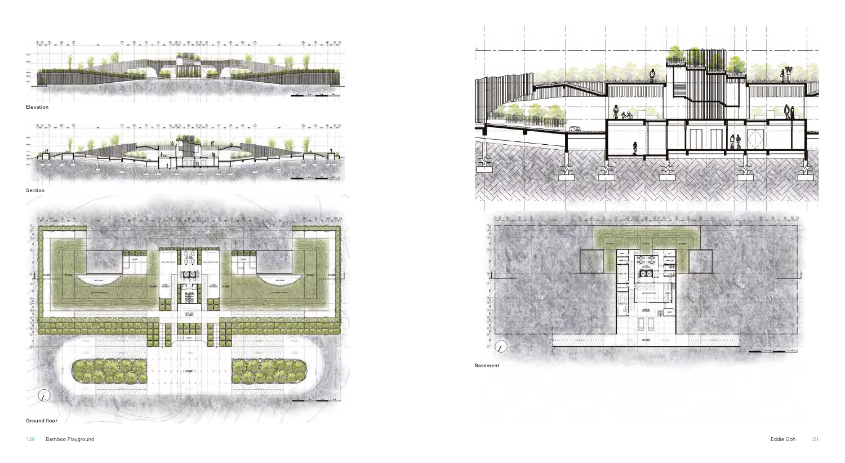





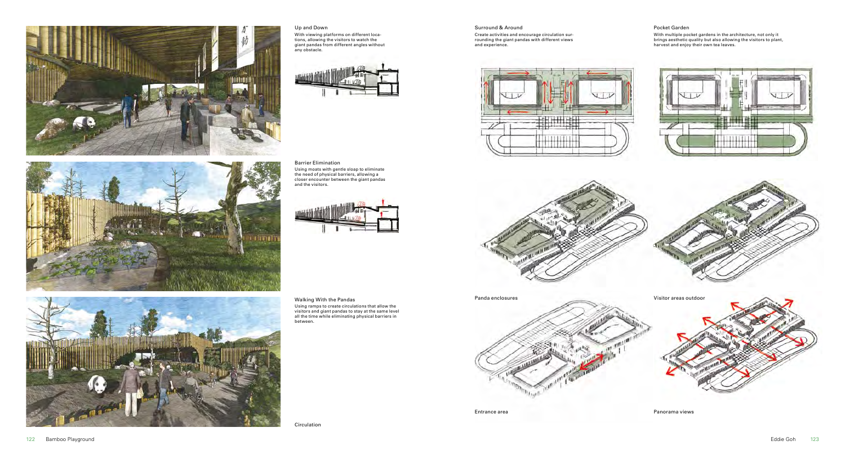Circulation

Panda enclosures Entrance area **Panorama views** Panorama views

### Pocket Garden

With multiple pocket gardens in the architecture, not only it brings aesthetic quality but also allowing the visitors to plant, harvest and enjoy their own tea leaves.



#### Surround & Around

Create activities and encourage circulation surrounding the giant pandas with different views and experience.





Barrier Elimination Using moats with gentle sloap to eliminate the need of physical barriers, allowing a closer encounter between the giant pandas and the visitors.









#### Up and Down

With viewing platforms on different locations, allowing the visitors to watch the giant pandas from different angles without any obstacle.



Walking With the Pandas Using ramps to create circulations that allow the visitors and giant pandas to stay at the same level all the time while eliminating physical barriers in between.